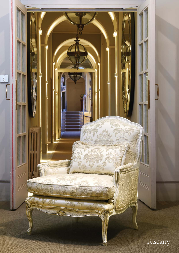

 $\circ \circ$ 

SIZ